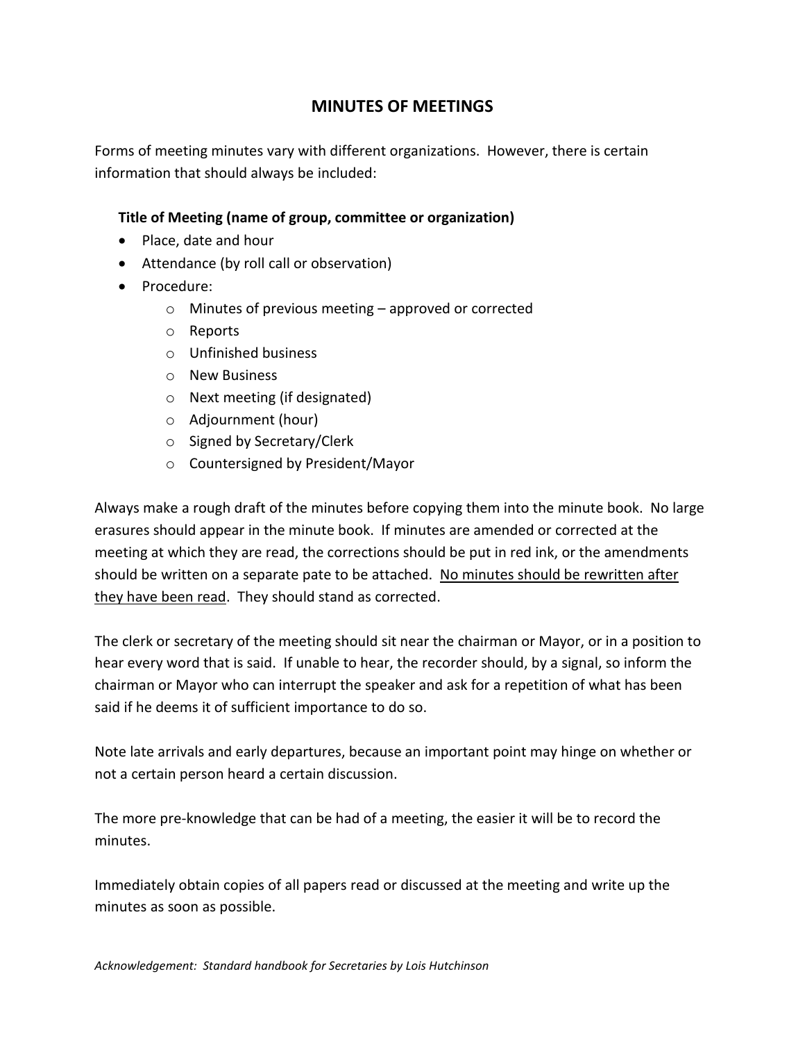## **MINUTES OF MEETINGS**

Forms of meeting minutes vary with different organizations. However, there is certain information that should always be included:

## **Title of Meeting (name of group, committee or organization)**

- Place, date and hour
- Attendance (by roll call or observation)
- Procedure:
	- o Minutes of previous meeting approved or corrected
	- o Reports
	- o Unfinished business
	- o New Business
	- o Next meeting (if designated)
	- o Adjournment (hour)
	- o Signed by Secretary/Clerk
	- o Countersigned by President/Mayor

Always make a rough draft of the minutes before copying them into the minute book. No large erasures should appear in the minute book. If minutes are amended or corrected at the meeting at which they are read, the corrections should be put in red ink, or the amendments should be written on a separate pate to be attached. No minutes should be rewritten after they have been read. They should stand as corrected.

The clerk or secretary of the meeting should sit near the chairman or Mayor, or in a position to hear every word that is said. If unable to hear, the recorder should, by a signal, so inform the chairman or Mayor who can interrupt the speaker and ask for a repetition of what has been said if he deems it of sufficient importance to do so.

Note late arrivals and early departures, because an important point may hinge on whether or not a certain person heard a certain discussion.

The more pre-knowledge that can be had of a meeting, the easier it will be to record the minutes.

Immediately obtain copies of all papers read or discussed at the meeting and write up the minutes as soon as possible.